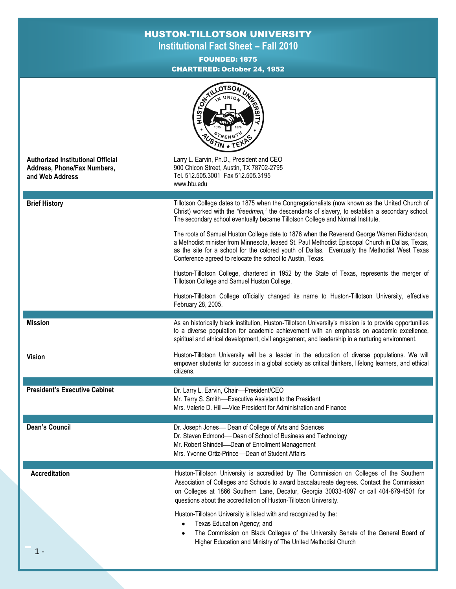## HUSTON-TILLOTSON UNIVERSITY

**Institutional Fact Sheet – Fall 2010**

FOUNDED: 1875 CHARTERED: October 24, 1952

|                                                                                            | LOTSON<br><b>WILEBILL</b><br><b>HUSTON,</b><br>IN UNION<br>$R$ FNG <sup>1</sup>                                                                                                                                                                                                                                                                                 |
|--------------------------------------------------------------------------------------------|-----------------------------------------------------------------------------------------------------------------------------------------------------------------------------------------------------------------------------------------------------------------------------------------------------------------------------------------------------------------|
| <b>Authorized Institutional Official</b><br>Address, Phone/Fax Numbers,<br>and Web Address | Larry L. Earvin, Ph.D., President and CEO<br>900 Chicon Street, Austin, TX 78702-2795<br>Tel. 512.505.3001 Fax 512.505.3195<br>www.htu.edu                                                                                                                                                                                                                      |
| <b>Brief History</b>                                                                       | Tillotson College dates to 1875 when the Congregationalists (now known as the United Church of<br>Christ) worked with the "freedmen," the descendants of slavery, to establish a secondary school.<br>The secondary school eventually became Tillotson College and Normal Institute.                                                                            |
|                                                                                            | The roots of Samuel Huston College date to 1876 when the Reverend George Warren Richardson,<br>a Methodist minister from Minnesota, leased St. Paul Methodist Episcopal Church in Dallas, Texas,<br>as the site for a school for the colored youth of Dallas. Eventually the Methodist West Texas<br>Conference agreed to relocate the school to Austin, Texas. |
|                                                                                            | Huston-Tillotson College, chartered in 1952 by the State of Texas, represents the merger of<br>Tillotson College and Samuel Huston College.                                                                                                                                                                                                                     |
|                                                                                            | Huston-Tillotson College officially changed its name to Huston-Tillotson University, effective<br>February 28, 2005.                                                                                                                                                                                                                                            |
| <b>Mission</b>                                                                             | As an historically black institution, Huston-Tillotson University's mission is to provide opportunities<br>to a diverse population for academic achievement with an emphasis on academic excellence,<br>spiritual and ethical development, civil engagement, and leadership in a nurturing environment.                                                         |
| <b>Vision</b>                                                                              | Huston-Tillotson University will be a leader in the education of diverse populations. We will<br>empower students for success in a global society as critical thinkers, lifelong learners, and ethical<br>citizens.                                                                                                                                             |
| <b>President's Executive Cabinet</b>                                                       | Dr. Larry L. Earvin, Chair-President/CEO<br>Mr. Terry S. Smith-Executive Assistant to the President<br>Mrs. Valerie D. Hill-Vice President for Administration and Finance                                                                                                                                                                                       |
| <b>Dean's Council</b>                                                                      | Dr. Joseph Jones- Dean of College of Arts and Sciences<br>Dr. Steven Edmond- Dean of School of Business and Technology<br>Mr. Robert Shindell-Dean of Enrollment Management<br>Mrs. Yvonne Ortiz-Prince-Dean of Student Affairs                                                                                                                                 |
| <b>Accreditation</b>                                                                       | Huston-Tillotson University is accredited by The Commission on Colleges of the Southern<br>Association of Colleges and Schools to award baccalaureate degrees. Contact the Commission<br>on Colleges at 1866 Southern Lane, Decatur, Georgia 30033-4097 or call 404-679-4501 for<br>questions about the accreditation of Huston-Tillotson University.           |
| $1 -$                                                                                      | Huston-Tillotson University is listed with and recognized by the:<br>Texas Education Agency; and<br>The Commission on Black Colleges of the University Senate of the General Board of<br>Higher Education and Ministry of The United Methodist Church                                                                                                           |